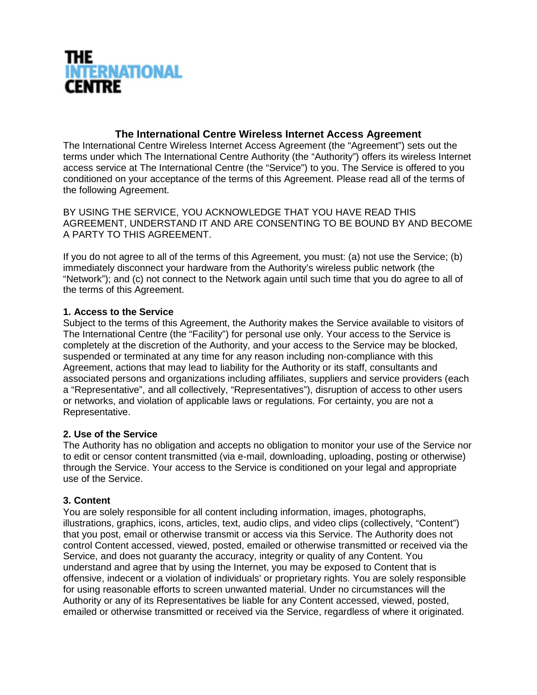

# **The International Centre Wireless Internet Access Agreement**

The International Centre Wireless Internet Access Agreement (the "Agreement") sets out the terms under which The International Centre Authority (the "Authority") offers its wireless Internet access service at The International Centre (the "Service") to you. The Service is offered to you conditioned on your acceptance of the terms of this Agreement. Please read all of the terms of the following Agreement.

BY USING THE SERVICE, YOU ACKNOWLEDGE THAT YOU HAVE READ THIS AGREEMENT, UNDERSTAND IT AND ARE CONSENTING TO BE BOUND BY AND BECOME A PARTY TO THIS AGREEMENT.

If you do not agree to all of the terms of this Agreement, you must: (a) not use the Service; (b) immediately disconnect your hardware from the Authority's wireless public network (the "Network"); and (c) not connect to the Network again until such time that you do agree to all of the terms of this Agreement.

#### **1. Access to the Service**

Subject to the terms of this Agreement, the Authority makes the Service available to visitors of The International Centre (the "Facility") for personal use only. Your access to the Service is completely at the discretion of the Authority, and your access to the Service may be blocked, suspended or terminated at any time for any reason including non-compliance with this Agreement, actions that may lead to liability for the Authority or its staff, consultants and associated persons and organizations including affiliates, suppliers and service providers (each a "Representative", and all collectively, "Representatives"), disruption of access to other users or networks, and violation of applicable laws or regulations. For certainty, you are not a Representative.

## **2. Use of the Service**

The Authority has no obligation and accepts no obligation to monitor your use of the Service nor to edit or censor content transmitted (via e-mail, downloading, uploading, posting or otherwise) through the Service. Your access to the Service is conditioned on your legal and appropriate use of the Service.

#### **3. Content**

You are solely responsible for all content including information, images, photographs, illustrations, graphics, icons, articles, text, audio clips, and video clips (collectively, "Content") that you post, email or otherwise transmit or access via this Service. The Authority does not control Content accessed, viewed, posted, emailed or otherwise transmitted or received via the Service, and does not guaranty the accuracy, integrity or quality of any Content. You understand and agree that by using the Internet, you may be exposed to Content that is offensive, indecent or a violation of individuals' or proprietary rights. You are solely responsible for using reasonable efforts to screen unwanted material. Under no circumstances will the Authority or any of its Representatives be liable for any Content accessed, viewed, posted, emailed or otherwise transmitted or received via the Service, regardless of where it originated.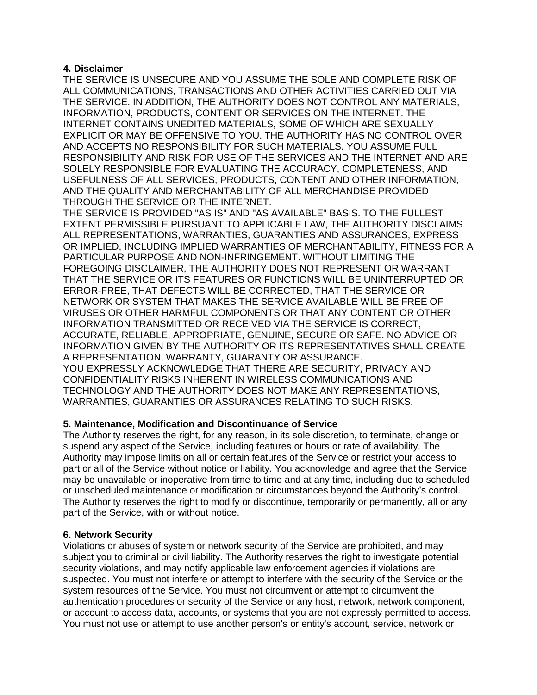#### **4. Disclaimer**

THE SERVICE IS UNSECURE AND YOU ASSUME THE SOLE AND COMPLETE RISK OF ALL COMMUNICATIONS, TRANSACTIONS AND OTHER ACTIVITIES CARRIED OUT VIA THE SERVICE. IN ADDITION, THE AUTHORITY DOES NOT CONTROL ANY MATERIALS, INFORMATION, PRODUCTS, CONTENT OR SERVICES ON THE INTERNET. THE INTERNET CONTAINS UNEDITED MATERIALS, SOME OF WHICH ARE SEXUALLY EXPLICIT OR MAY BE OFFENSIVE TO YOU. THE AUTHORITY HAS NO CONTROL OVER AND ACCEPTS NO RESPONSIBILITY FOR SUCH MATERIALS. YOU ASSUME FULL RESPONSIBILITY AND RISK FOR USE OF THE SERVICES AND THE INTERNET AND ARE SOLELY RESPONSIBLE FOR EVALUATING THE ACCURACY, COMPLETENESS, AND USEFULNESS OF ALL SERVICES, PRODUCTS, CONTENT AND OTHER INFORMATION, AND THE QUALITY AND MERCHANTABILITY OF ALL MERCHANDISE PROVIDED THROUGH THE SERVICE OR THE INTERNET.

THE SERVICE IS PROVIDED "AS IS" AND "AS AVAILABLE" BASIS. TO THE FULLEST EXTENT PERMISSIBLE PURSUANT TO APPLICABLE LAW, THE AUTHORITY DISCLAIMS ALL REPRESENTATIONS, WARRANTIES, GUARANTIES AND ASSURANCES, EXPRESS OR IMPLIED, INCLUDING IMPLIED WARRANTIES OF MERCHANTABILITY, FITNESS FOR A PARTICULAR PURPOSE AND NON-INFRINGEMENT. WITHOUT LIMITING THE FOREGOING DISCLAIMER, THE AUTHORITY DOES NOT REPRESENT OR WARRANT THAT THE SERVICE OR ITS FEATURES OR FUNCTIONS WILL BE UNINTERRUPTED OR ERROR-FREE, THAT DEFECTS WILL BE CORRECTED, THAT THE SERVICE OR NETWORK OR SYSTEM THAT MAKES THE SERVICE AVAILABLE WILL BE FREE OF VIRUSES OR OTHER HARMFUL COMPONENTS OR THAT ANY CONTENT OR OTHER INFORMATION TRANSMITTED OR RECEIVED VIA THE SERVICE IS CORRECT, ACCURATE, RELIABLE, APPROPRIATE, GENUINE, SECURE OR SAFE. NO ADVICE OR INFORMATION GIVEN BY THE AUTHORITY OR ITS REPRESENTATIVES SHALL CREATE A REPRESENTATION, WARRANTY, GUARANTY OR ASSURANCE. YOU EXPRESSLY ACKNOWLEDGE THAT THERE ARE SECURITY, PRIVACY AND CONFIDENTIALITY RISKS INHERENT IN WIRELESS COMMUNICATIONS AND TECHNOLOGY AND THE AUTHORITY DOES NOT MAKE ANY REPRESENTATIONS, WARRANTIES, GUARANTIES OR ASSURANCES RELATING TO SUCH RISKS.

## **5. Maintenance, Modification and Discontinuance of Service**

The Authority reserves the right, for any reason, in its sole discretion, to terminate, change or suspend any aspect of the Service, including features or hours or rate of availability. The Authority may impose limits on all or certain features of the Service or restrict your access to part or all of the Service without notice or liability. You acknowledge and agree that the Service may be unavailable or inoperative from time to time and at any time, including due to scheduled or unscheduled maintenance or modification or circumstances beyond the Authority's control. The Authority reserves the right to modify or discontinue, temporarily or permanently, all or any part of the Service, with or without notice.

## **6. Network Security**

Violations or abuses of system or network security of the Service are prohibited, and may subject you to criminal or civil liability. The Authority reserves the right to investigate potential security violations, and may notify applicable law enforcement agencies if violations are suspected. You must not interfere or attempt to interfere with the security of the Service or the system resources of the Service. You must not circumvent or attempt to circumvent the authentication procedures or security of the Service or any host, network, network component, or account to access data, accounts, or systems that you are not expressly permitted to access. You must not use or attempt to use another person's or entity's account, service, network or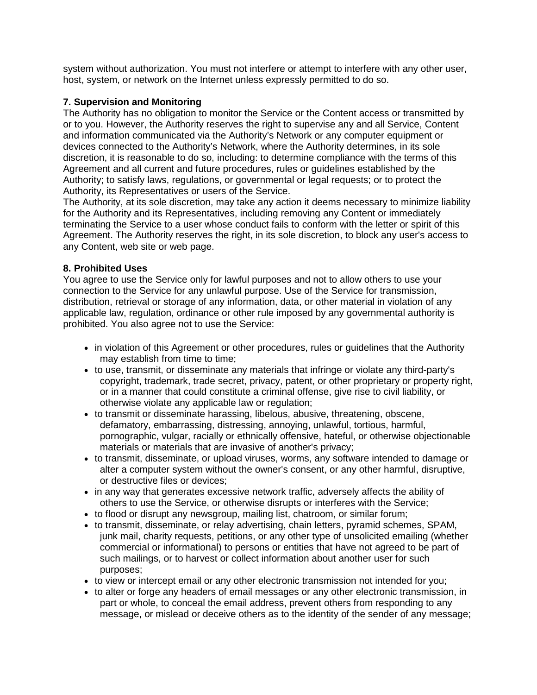system without authorization. You must not interfere or attempt to interfere with any other user, host, system, or network on the Internet unless expressly permitted to do so.

## **7. Supervision and Monitoring**

The Authority has no obligation to monitor the Service or the Content access or transmitted by or to you. However, the Authority reserves the right to supervise any and all Service, Content and information communicated via the Authority's Network or any computer equipment or devices connected to the Authority's Network, where the Authority determines, in its sole discretion, it is reasonable to do so, including: to determine compliance with the terms of this Agreement and all current and future procedures, rules or guidelines established by the Authority; to satisfy laws, regulations, or governmental or legal requests; or to protect the Authority, its Representatives or users of the Service.

The Authority, at its sole discretion, may take any action it deems necessary to minimize liability for the Authority and its Representatives, including removing any Content or immediately terminating the Service to a user whose conduct fails to conform with the letter or spirit of this Agreement. The Authority reserves the right, in its sole discretion, to block any user's access to any Content, web site or web page.

#### **8. Prohibited Uses**

You agree to use the Service only for lawful purposes and not to allow others to use your connection to the Service for any unlawful purpose. Use of the Service for transmission, distribution, retrieval or storage of any information, data, or other material in violation of any applicable law, regulation, ordinance or other rule imposed by any governmental authority is prohibited. You also agree not to use the Service:

- in violation of this Agreement or other procedures, rules or guidelines that the Authority may establish from time to time;
- to use, transmit, or disseminate any materials that infringe or violate any third-party's copyright, trademark, trade secret, privacy, patent, or other proprietary or property right, or in a manner that could constitute a criminal offense, give rise to civil liability, or otherwise violate any applicable law or regulation;
- to transmit or disseminate harassing, libelous, abusive, threatening, obscene, defamatory, embarrassing, distressing, annoying, unlawful, tortious, harmful, pornographic, vulgar, racially or ethnically offensive, hateful, or otherwise objectionable materials or materials that are invasive of another's privacy;
- to transmit, disseminate, or upload viruses, worms, any software intended to damage or alter a computer system without the owner's consent, or any other harmful, disruptive, or destructive files or devices;
- in any way that generates excessive network traffic, adversely affects the ability of others to use the Service, or otherwise disrupts or interferes with the Service;
- to flood or disrupt any newsgroup, mailing list, chatroom, or similar forum;
- to transmit, disseminate, or relay advertising, chain letters, pyramid schemes, SPAM, junk mail, charity requests, petitions, or any other type of unsolicited emailing (whether commercial or informational) to persons or entities that have not agreed to be part of such mailings, or to harvest or collect information about another user for such purposes;
- to view or intercept email or any other electronic transmission not intended for you;
- to alter or forge any headers of email messages or any other electronic transmission, in part or whole, to conceal the email address, prevent others from responding to any message, or mislead or deceive others as to the identity of the sender of any message;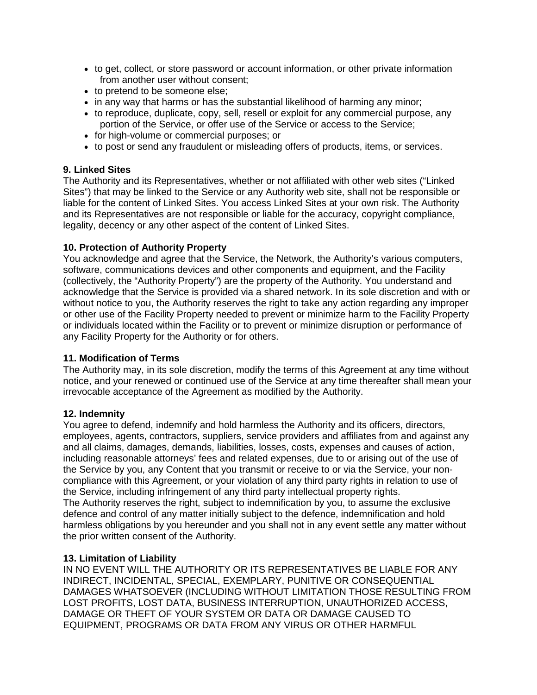- to get, collect, or store password or account information, or other private information from another user without consent;
- to pretend to be someone else;
- in any way that harms or has the substantial likelihood of harming any minor;
- to reproduce, duplicate, copy, sell, resell or exploit for any commercial purpose, any portion of the Service, or offer use of the Service or access to the Service;
- for high-volume or commercial purposes; or
- to post or send any fraudulent or misleading offers of products, items, or services.

## **9. Linked Sites**

The Authority and its Representatives, whether or not affiliated with other web sites ("Linked Sites") that may be linked to the Service or any Authority web site, shall not be responsible or liable for the content of Linked Sites. You access Linked Sites at your own risk. The Authority and its Representatives are not responsible or liable for the accuracy, copyright compliance, legality, decency or any other aspect of the content of Linked Sites.

#### **10. Protection of Authority Property**

You acknowledge and agree that the Service, the Network, the Authority's various computers, software, communications devices and other components and equipment, and the Facility (collectively, the "Authority Property") are the property of the Authority. You understand and acknowledge that the Service is provided via a shared network. In its sole discretion and with or without notice to you, the Authority reserves the right to take any action regarding any improper or other use of the Facility Property needed to prevent or minimize harm to the Facility Property or individuals located within the Facility or to prevent or minimize disruption or performance of any Facility Property for the Authority or for others.

## **11. Modification of Terms**

The Authority may, in its sole discretion, modify the terms of this Agreement at any time without notice, and your renewed or continued use of the Service at any time thereafter shall mean your irrevocable acceptance of the Agreement as modified by the Authority.

#### **12. Indemnity**

You agree to defend, indemnify and hold harmless the Authority and its officers, directors, employees, agents, contractors, suppliers, service providers and affiliates from and against any and all claims, damages, demands, liabilities, losses, costs, expenses and causes of action, including reasonable attorneys' fees and related expenses, due to or arising out of the use of the Service by you, any Content that you transmit or receive to or via the Service, your noncompliance with this Agreement, or your violation of any third party rights in relation to use of the Service, including infringement of any third party intellectual property rights. The Authority reserves the right, subject to indemnification by you, to assume the exclusive defence and control of any matter initially subject to the defence, indemnification and hold harmless obligations by you hereunder and you shall not in any event settle any matter without the prior written consent of the Authority.

## **13. Limitation of Liability**

IN NO EVENT WILL THE AUTHORITY OR ITS REPRESENTATIVES BE LIABLE FOR ANY INDIRECT, INCIDENTAL, SPECIAL, EXEMPLARY, PUNITIVE OR CONSEQUENTIAL DAMAGES WHATSOEVER (INCLUDING WITHOUT LIMITATION THOSE RESULTING FROM LOST PROFITS, LOST DATA, BUSINESS INTERRUPTION, UNAUTHORIZED ACCESS, DAMAGE OR THEFT OF YOUR SYSTEM OR DATA OR DAMAGE CAUSED TO EQUIPMENT, PROGRAMS OR DATA FROM ANY VIRUS OR OTHER HARMFUL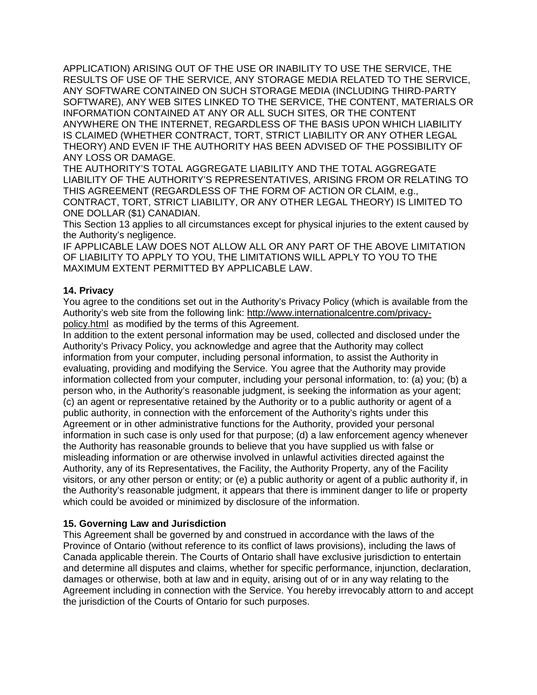APPLICATION) ARISING OUT OF THE USE OR INABILITY TO USE THE SERVICE, THE RESULTS OF USE OF THE SERVICE, ANY STORAGE MEDIA RELATED TO THE SERVICE, ANY SOFTWARE CONTAINED ON SUCH STORAGE MEDIA (INCLUDING THIRD-PARTY SOFTWARE), ANY WEB SITES LINKED TO THE SERVICE, THE CONTENT, MATERIALS OR INFORMATION CONTAINED AT ANY OR ALL SUCH SITES, OR THE CONTENT ANYWHERE ON THE INTERNET, REGARDLESS OF THE BASIS UPON WHICH LIABILITY IS CLAIMED (WHETHER CONTRACT, TORT, STRICT LIABILITY OR ANY OTHER LEGAL THEORY) AND EVEN IF THE AUTHORITY HAS BEEN ADVISED OF THE POSSIBILITY OF ANY LOSS OR DAMAGE.

THE AUTHORITY'S TOTAL AGGREGATE LIABILITY AND THE TOTAL AGGREGATE LIABILITY OF THE AUTHORITY'S REPRESENTATIVES, ARISING FROM OR RELATING TO THIS AGREEMENT (REGARDLESS OF THE FORM OF ACTION OR CLAIM, e.g., CONTRACT, TORT, STRICT LIABILITY, OR ANY OTHER LEGAL THEORY) IS LIMITED TO ONE DOLLAR (\$1) CANADIAN.

This Section 13 applies to all circumstances except for physical injuries to the extent caused by the Authority's negligence.

IF APPLICABLE LAW DOES NOT ALLOW ALL OR ANY PART OF THE ABOVE LIMITATION OF LIABILITY TO APPLY TO YOU, THE LIMITATIONS WILL APPLY TO YOU TO THE MAXIMUM EXTENT PERMITTED BY APPLICABLE LAW.

#### **14. Privacy**

You agree to the conditions set out in the Authority's Privacy Policy (which is available from the Authority's web site from the following link: [http://www.internationalcentre.com/privacy](http://www.internationalcentre.com/privacy-policy.html)[policy.html](http://www.internationalcentre.com/privacy-policy.html) as modified by the terms of this Agreement.

In addition to the extent personal information may be used, collected and disclosed under the Authority's Privacy Policy, you acknowledge and agree that the Authority may collect information from your computer, including personal information, to assist the Authority in evaluating, providing and modifying the Service. You agree that the Authority may provide information collected from your computer, including your personal information, to: (a) you; (b) a person who, in the Authority's reasonable judgment, is seeking the information as your agent; (c) an agent or representative retained by the Authority or to a public authority or agent of a public authority, in connection with the enforcement of the Authority's rights under this Agreement or in other administrative functions for the Authority, provided your personal information in such case is only used for that purpose; (d) a law enforcement agency whenever the Authority has reasonable grounds to believe that you have supplied us with false or misleading information or are otherwise involved in unlawful activities directed against the Authority, any of its Representatives, the Facility, the Authority Property, any of the Facility visitors, or any other person or entity; or (e) a public authority or agent of a public authority if, in the Authority's reasonable judgment, it appears that there is imminent danger to life or property which could be avoided or minimized by disclosure of the information.

## **15. Governing Law and Jurisdiction**

This Agreement shall be governed by and construed in accordance with the laws of the Province of Ontario (without reference to its conflict of laws provisions), including the laws of Canada applicable therein. The Courts of Ontario shall have exclusive jurisdiction to entertain and determine all disputes and claims, whether for specific performance, injunction, declaration, damages or otherwise, both at law and in equity, arising out of or in any way relating to the Agreement including in connection with the Service. You hereby irrevocably attorn to and accept the jurisdiction of the Courts of Ontario for such purposes.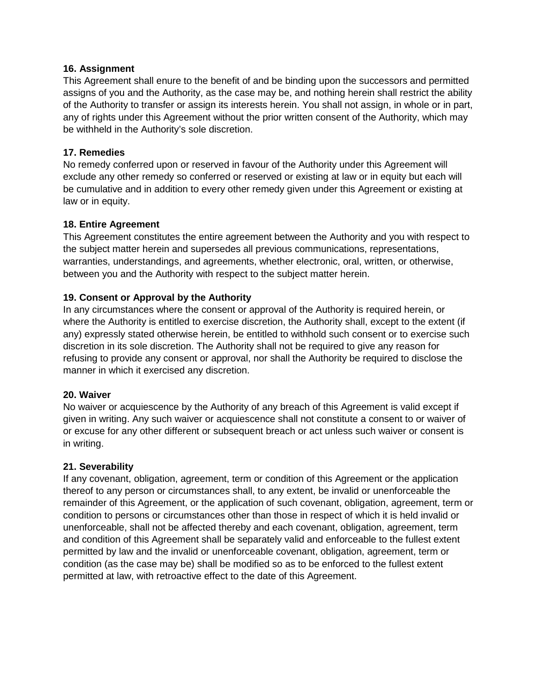## **16. Assignment**

This Agreement shall enure to the benefit of and be binding upon the successors and permitted assigns of you and the Authority, as the case may be, and nothing herein shall restrict the ability of the Authority to transfer or assign its interests herein. You shall not assign, in whole or in part, any of rights under this Agreement without the prior written consent of the Authority, which may be withheld in the Authority's sole discretion.

## **17. Remedies**

No remedy conferred upon or reserved in favour of the Authority under this Agreement will exclude any other remedy so conferred or reserved or existing at law or in equity but each will be cumulative and in addition to every other remedy given under this Agreement or existing at law or in equity.

#### **18. Entire Agreement**

This Agreement constitutes the entire agreement between the Authority and you with respect to the subject matter herein and supersedes all previous communications, representations, warranties, understandings, and agreements, whether electronic, oral, written, or otherwise, between you and the Authority with respect to the subject matter herein.

## **19. Consent or Approval by the Authority**

In any circumstances where the consent or approval of the Authority is required herein, or where the Authority is entitled to exercise discretion, the Authority shall, except to the extent (if any) expressly stated otherwise herein, be entitled to withhold such consent or to exercise such discretion in its sole discretion. The Authority shall not be required to give any reason for refusing to provide any consent or approval, nor shall the Authority be required to disclose the manner in which it exercised any discretion.

## **20. Waiver**

No waiver or acquiescence by the Authority of any breach of this Agreement is valid except if given in writing. Any such waiver or acquiescence shall not constitute a consent to or waiver of or excuse for any other different or subsequent breach or act unless such waiver or consent is in writing.

## **21. Severability**

If any covenant, obligation, agreement, term or condition of this Agreement or the application thereof to any person or circumstances shall, to any extent, be invalid or unenforceable the remainder of this Agreement, or the application of such covenant, obligation, agreement, term or condition to persons or circumstances other than those in respect of which it is held invalid or unenforceable, shall not be affected thereby and each covenant, obligation, agreement, term and condition of this Agreement shall be separately valid and enforceable to the fullest extent permitted by law and the invalid or unenforceable covenant, obligation, agreement, term or condition (as the case may be) shall be modified so as to be enforced to the fullest extent permitted at law, with retroactive effect to the date of this Agreement.